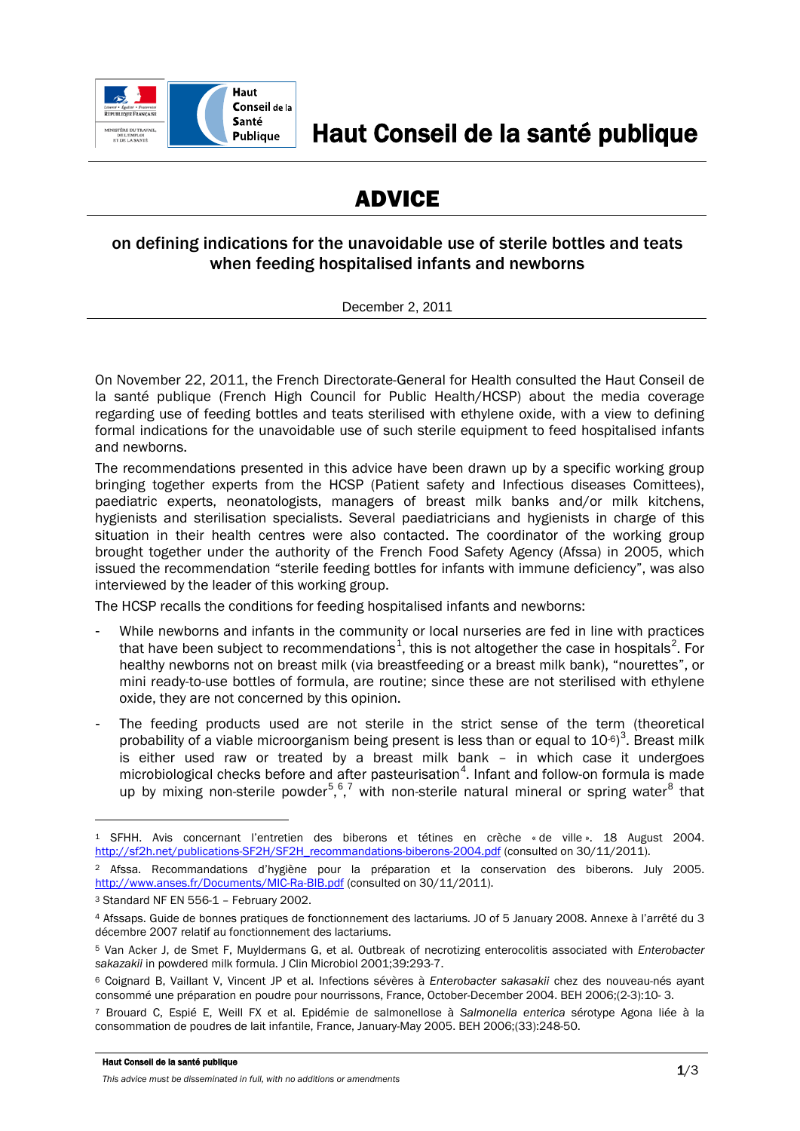

# ADVICE

# on defining indications for the unavoidable use of sterile bottles and teats when feeding hospitalised infants and newborns

December 2, 2011

On November 22, 2011, the French Directorate-General for Health consulted the Haut Conseil de la santé publique (French High Council for Public Health/HCSP) about the media coverage regarding use of feeding bottles and teats sterilised with ethylene oxide, with a view to defining formal indications for the unavoidable use of such sterile equipment to feed hospitalised infants and newborns.

The recommendations presented in this advice have been drawn up by a specific working group bringing together experts from the HCSP (Patient safety and Infectious diseases Comittees), paediatric experts, neonatologists, managers of breast milk banks and/or milk kitchens, hygienists and sterilisation specialists. Several paediatricians and hygienists in charge of this situation in their health centres were also contacted. The coordinator of the working group brought together under the authority of the French Food Safety Agency (Afssa) in 2005, which issued the recommendation "sterile feeding bottles for infants with immune deficiency", was also interviewed by the leader of this working group.

The HCSP recalls the conditions for feeding hospitalised infants and newborns:

- While newborns and infants in the community or local nurseries are fed in line with practices that have been subject to recommendations<sup>[1](#page-0-0)</sup>, this is not altogether the case in hospitals<sup>[2](#page-0-1)</sup>. For healthy newborns not on breast milk (via breastfeeding or a breast milk bank), "nourettes", or mini ready-to-use bottles of formula, are routine; since these are not sterilised with ethylene oxide, they are not concerned by this opinion.
- The feeding products used are not sterile in the strict sense of the term (theoretical probability of a viable microorganism being present is less than or equal to  $10^{-6}$ <sup>[3](#page-0-2)</sup>. Breast milk is either used raw or treated by a breast milk bank – in which case it undergoes microbiological checks before and after pasteurisation<sup>[4](#page-0-3)</sup>. Infant and follow-on formula is made up by mixing non-sterile powder<sup>[5](#page-0-4),[6](#page-0-5),[7](#page-0-6)</sup> with non-sterile natural mineral or spring water<sup>[8](#page-0-1)</sup> that

#### Haut Conseil de la santé publique

-

*This advice must be disseminated in full, with no additions or amendments*

<span id="page-0-0"></span><sup>1</sup> SFHH. Avis concernant l'entretien des biberons et tétines en crèche « de ville ». 18 August 2004. [http://sf2h.net/publications-SF2H/SF2H\\_recommandations-biberons-2004.pdf](http://sf2h.net/publications-SF2H/SF2H_recommandations-biberons-2004.pdf) (consulted on 30/11/2011).

<span id="page-0-1"></span><sup>2</sup> Afssa. Recommandations d'hygiène pour la préparation et la conservation des biberons. July 2005. <http://www.anses.fr/Documents/MIC-Ra-BIB.pdf> (consulted on 30/11/2011).

<span id="page-0-2"></span><sup>3</sup> Standard NF EN 556-1 – February 2002.

<span id="page-0-3"></span><sup>4</sup> Afssaps. Guide de bonnes pratiques de fonctionnement des lactariums. JO of 5 January 2008. Annexe à l'arrêté du 3 décembre 2007 relatif au fonctionnement des lactariums.

<span id="page-0-4"></span><sup>5</sup> Van Acker J, de Smet F, Muyldermans G, et al. Outbreak of necrotizing enterocolitis associated with *Enterobacter sakazakii* in powdered milk formula. J Clin Microbiol 2001;39:293-7.

<span id="page-0-5"></span><sup>6</sup> Coignard B, Vaillant V, Vincent JP et al. Infections sévères à *Enterobacter sakasakii* chez des nouveau-nés ayant consommé une préparation en poudre pour nourrissons, France, October-December 2004. BEH 2006;(2-3):10- 3.

<span id="page-0-6"></span><sup>7</sup> Brouard C, Espié E, Weill FX et al. Epidémie de salmonellose à *Salmonella enterica* sérotype Agona liée à la consommation de poudres de lait infantile, France, January-May 2005. BEH 2006;(33):248-50.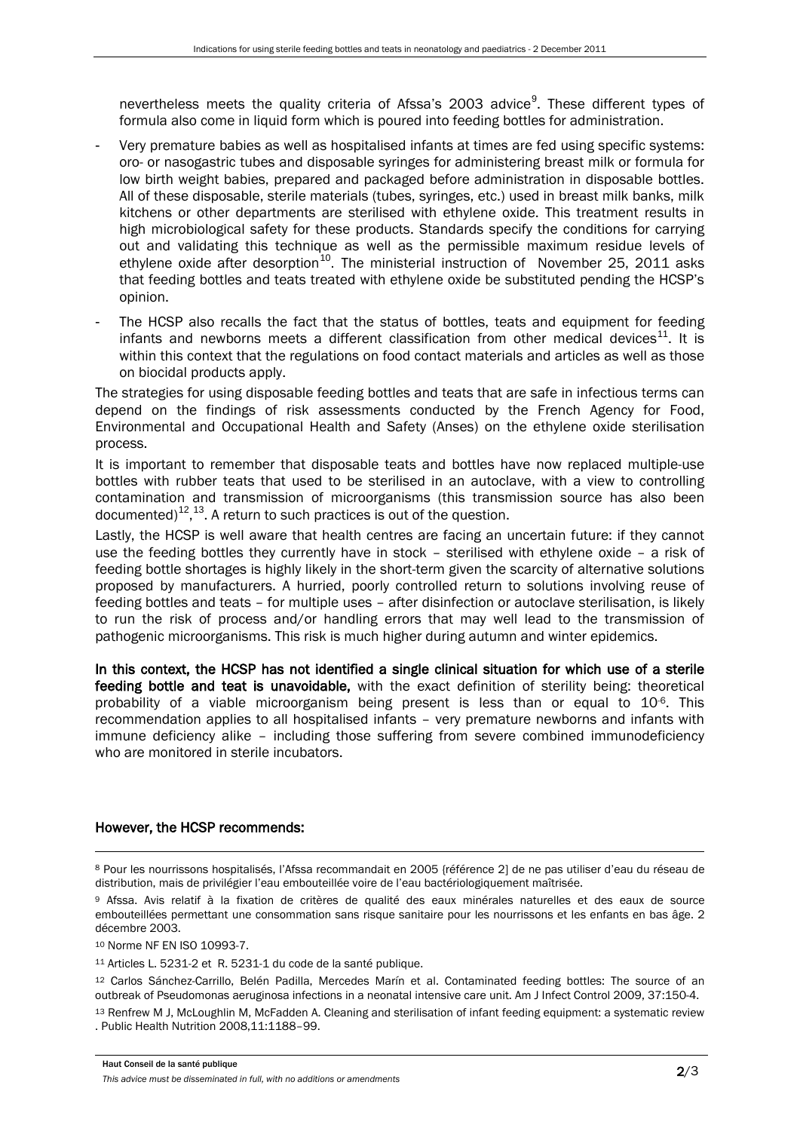nevertheless meets the quality criteria of Afssa's 2003 advice<sup>[9](#page-1-0)</sup>. These different types of formula also come in liquid form which is poured into feeding bottles for administration.

- Very premature babies as well as hospitalised infants at times are fed using specific systems: oro- or nasogastric tubes and disposable syringes for administering breast milk or formula for low birth weight babies, prepared and packaged before administration in disposable bottles. All of these disposable, sterile materials (tubes, syringes, etc.) used in breast milk banks, milk kitchens or other departments are sterilised with ethylene oxide. This treatment results in high microbiological safety for these products. Standards specify the conditions for carrying out and validating this technique as well as the permissible maximum residue levels of ethylene oxide after desorption<sup>[10](#page-1-1)</sup>. The ministerial instruction of November 25, 2011 asks that feeding bottles and teats treated with ethylene oxide be substituted pending the HCSP's opinion.
- The HCSP also recalls the fact that the status of bottles, teats and equipment for feeding infants and newborns meets a different classification from other medical devices<sup>[11](#page-1-2)</sup>. It is within this context that the regulations on food contact materials and articles as well as those on biocidal products apply.

The strategies for using disposable feeding bottles and teats that are safe in infectious terms can depend on the findings of risk assessments conducted by the French Agency for Food, Environmental and Occupational Health and Safety (Anses) on the ethylene oxide sterilisation process.

It is important to remember that disposable teats and bottles have now replaced multiple-use bottles with rubber teats that used to be sterilised in an autoclave, with a view to controlling contamination and transmission of microorganisms (this transmission source has also been documented)<sup>[12](#page-1-3)</sup>,<sup>[13](#page-1-4)</sup>. A return to such practices is out of the question.

Lastly, the HCSP is well aware that health centres are facing an uncertain future: if they cannot use the feeding bottles they currently have in stock – sterilised with ethylene oxide – a risk of feeding bottle shortages is highly likely in the short-term given the scarcity of alternative solutions proposed by manufacturers. A hurried, poorly controlled return to solutions involving reuse of feeding bottles and teats – for multiple uses – after disinfection or autoclave sterilisation, is likely to run the risk of process and/or handling errors that may well lead to the transmission of pathogenic microorganisms. This risk is much higher during autumn and winter epidemics.

In this context, the HCSP has not identified a single clinical situation for which use of a sterile feeding bottle and teat is unavoidable, with the exact definition of sterility being: theoretical probability of a viable microorganism being present is less than or equal to 10<sup>-6</sup>. This recommendation applies to all hospitalised infants – very premature newborns and infants with immune deficiency alike – including those suffering from severe combined immunodeficiency who are monitored in sterile incubators.

## However, the HCSP recommends:

<span id="page-1-1"></span><sup>10</sup> Norme NF EN ISO 10993-7.

<u>.</u>

<sup>11</sup> Articles L. 5231-2 et R. 5231-1 du code de la santé publique.

<span id="page-1-3"></span><span id="page-1-2"></span><sup>12</sup> Carlos Sánchez-Carrillo, Belén Padilla, Mercedes Marín et al. Contaminated feeding bottles: The source of an outbreak of Pseudomonas aeruginosa infections in a neonatal intensive care unit. Am J Infect Control 2009, 37:150-4.

<sup>8</sup> Pour les nourrissons hospitalisés, l'Afssa recommandait en 2005 {référence 2] de ne pas utiliser d'eau du réseau de distribution, mais de privilégier l'eau embouteillée voire de l'eau bactériologiquement maîtrisée.

<span id="page-1-0"></span><sup>9</sup> Afssa. Avis relatif à la fixation de critères de qualité des eaux minérales naturelles et des eaux de source embouteillées permettant une consommation sans risque sanitaire pour les nourrissons et les enfants en bas âge. 2 décembre 2003.

<span id="page-1-4"></span><sup>13</sup> Renfrew M J, McLoughlin M, McFadden A. Cleaning and sterilisation of infant feeding equipment: a systematic review . Public Health Nutrition 2008,11:1188–99.